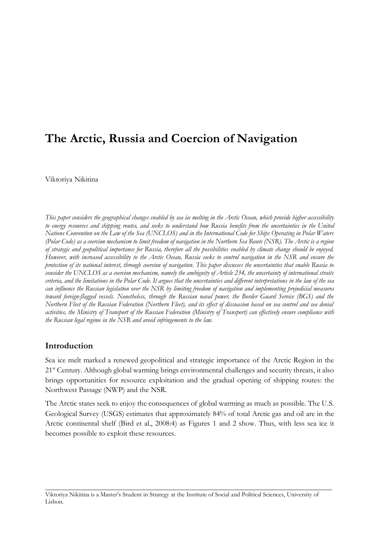# **The Arctic, Russia and Coercion of Navigation**

Viktoriya Nikitina

*This paper considers the geographical changes enabled by sea ice melting in the Arctic Ocean, which provide higher accessibility to energy resources and shipping routes, and seeks to understand how Russia benefits from the uncertainties in the United Nations Convention on the Law of the Sea (UNCLOS) and in the International Code for Ships Operating in Polar Waters (Polar Code) as a coercion mechanism to limit freedom of navigation in the Northern Sea Route (NSR). The Arctic is a region of strategic and geopolitical importance for Russia, therefore all the possibilities enabled by climate change should be enjoyed. However, with increased accessibility to the Arctic Ocean, Russia seeks to control navigation in the NSR and ensure the protection of its national interest, through coercion of navigation. This paper discusses the uncertainties that enable Russia to consider the UNCLOS as a coercion mechanism, namely the ambiguity of Article 234, the uncertainty of international straits criteria, and the limitations in the Polar Code. It argues that the uncertainties and different interpretations in the law of the sea can influence the Russian legislation over the NSR by limiting freedom of navigation and implementing prejudicial measures toward foreign-flagged vessels. Nonetheless, through the Russian naval power, the Border Guard Service (BGS) and the Northern Fleet of the Russian Federation (Northern Fleet), and its effect of dissuasion based on sea control and sea denial activities, the Ministry of Transport of the Russian Federation (Ministry of Transport) can effectively ensure compliance with the Russian legal regime in the NSR and avoid infringements to the law.* 

## **Introduction**

Sea ice melt marked a renewed geopolitical and strategic importance of the Arctic Region in the 21<sup>st</sup> Century. Although global warming brings environmental challenges and security threats, it also brings opportunities for resource exploitation and the gradual opening of shipping routes: the Northwest Passage (NWP) and the NSR.

The Arctic states seek to enjoy the consequences of global warming as much as possible. The U.S. Geological Survey (USGS) estimates that approximately 84% of total Arctic gas and oil are in the Arctic continental shelf (Bird et al., 2008:4) as Figures 1 and 2 show. Thus, with less sea ice it becomes possible to exploit these resources.

\_\_\_\_\_\_\_\_\_\_\_\_\_\_\_\_\_\_\_\_\_\_\_\_\_\_\_\_\_\_\_\_\_\_\_\_\_\_\_\_\_\_\_\_\_\_\_\_\_\_\_\_\_\_\_\_\_\_\_\_\_\_\_\_\_\_\_\_\_\_\_\_\_\_\_\_\_\_\_\_\_\_

Viktoriya Nikitina is a Master's Student in Strategy at the Institute of Social and Political Sciences, University of Lisbon.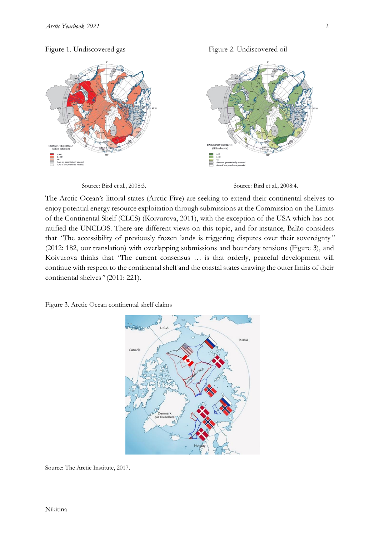#### Figure 1. Undiscovered gas Figure 2. Undiscovered oil





The Arctic Ocean's littoral states (Arctic Five) are seeking to extend their continental shelves to enjoy potential energy resource exploitation through submissions at the Commission on the Limits of the Continental Shelf (CLCS) (Koivurova, 2011), with the exception of the USA which has not ratified the UNCLOS. There are different views on this topic, and for instance, Balão considers that *"*The accessibility of previously frozen lands is triggering disputes over their sovereignty*"* (2012: 182, our translation) with overlapping submissions and boundary tensions (Figure 3), and Koivurova thinks that *"*The current consensus … is that orderly, peaceful development will continue with respect to the continental shelf and the coastal states drawing the outer limits of their continental shelves*"* (2011: 221).





Source: The Arctic Institute, 2017.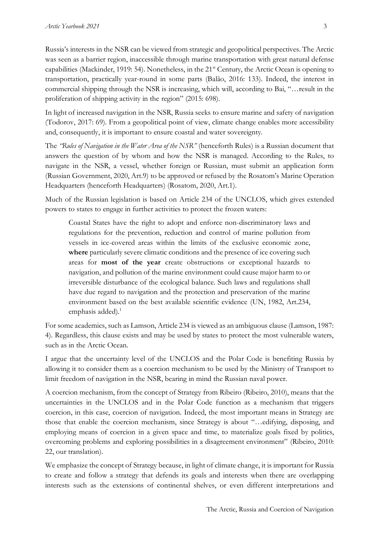Russia's interests in the NSR can be viewed from strategic and geopolitical perspectives. The Arctic was seen as a barrier region, inaccessible through marine transportation with great natural defense capabilities (Mackinder, 1919: 54). Nonetheless, in the 21<sup>st</sup> Century, the Arctic Ocean is opening to transportation, practically year-round in some parts (Balão, 2016: 133). Indeed, the interest in commercial shipping through the NSR is increasing, which will, according to Bai, "…result in the proliferation of shipping activity in the region" (2015: 698).

In light of increased navigation in the NSR, Russia seeks to ensure marine and safety of navigation (Todorov, 2017: 69). From a geopolitical point of view, climate change enables more accessibility and, consequently, it is important to ensure coastal and water sovereignty.

The *"Rules of Navigation in the Water Area of the NSR"* (henceforth Rules) is a Russian document that answers the question of by whom and how the NSR is managed. According to the Rules, to navigate in the NSR, a vessel, whether foreign or Russian, must submit an application form (Russian Government, 2020, Art.9) to be approved or refused by the Rosatom's Marine Operation Headquarters (henceforth Headquarters) (Rosatom, 2020, Art.1).

Much of the Russian legislation is based on Article 234 of the UNCLOS, which gives extended powers to states to engage in further activities to protect the frozen waters:

Coastal States have the right to adopt and enforce non-discriminatory laws and regulations for the prevention, reduction and control of marine pollution from vessels in ice-covered areas within the limits of the exclusive economic zone, **where** particularly severe climatic conditions and the presence of ice covering such areas for **most of the year** create obstructions or exceptional hazards to navigation, and pollution of the marine environment could cause major harm to or irreversible disturbance of the ecological balance. Such laws and regulations shall have due regard to navigation and the protection and preservation of the marine environment based on the best available scientific evidence (UN, 1982, Art.234, emphasis added). $<sup>1</sup>$ </sup>

For some academics, such as Lamson, Article 234 is viewed as an ambiguous clause (Lamson, 1987: 4). Regardless, this clause exists and may be used by states to protect the most vulnerable waters, such as in the Arctic Ocean.

I argue that the uncertainty level of the UNCLOS and the Polar Code is benefiting Russia by allowing it to consider them as a coercion mechanism to be used by the Ministry of Transport to limit freedom of navigation in the NSR, bearing in mind the Russian naval power.

A coercion mechanism, from the concept of Strategy from Ribeiro (Ribeiro, 2010), means that the uncertainties in the UNCLOS and in the Polar Code function as a mechanism that triggers coercion, in this case, coercion of navigation. Indeed, the most important means in Strategy are those that enable the coercion mechanism, since Strategy is about "…edifying, disposing, and employing means of coercion in a given space and time, to materialize goals fixed by politics, overcoming problems and exploring possibilities in a disagreement environment" (Ribeiro, 2010: 22, our translation).

We emphasize the concept of Strategy because, in light of climate change, it is important for Russia to create and follow a strategy that defends its goals and interests when there are overlapping interests such as the extensions of continental shelves, or even different interpretations and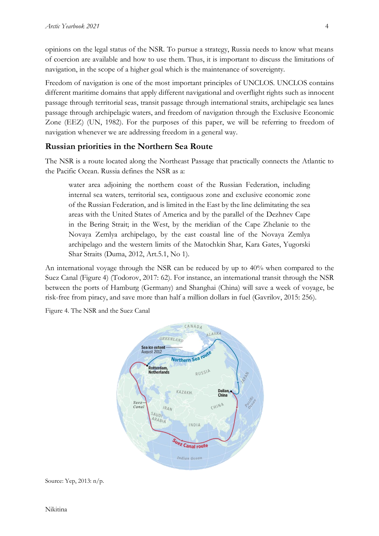opinions on the legal status of the NSR. To pursue a strategy, Russia needs to know what means of coercion are available and how to use them. Thus, it is important to discuss the limitations of navigation, in the scope of a higher goal which is the maintenance of sovereignty.

Freedom of navigation is one of the most important principles of UNCLOS. UNCLOS contains different maritime domains that apply different navigational and overflight rights such as innocent passage through territorial seas, transit passage through international straits, archipelagic sea lanes passage through archipelagic waters, and freedom of navigation through the Exclusive Economic Zone (EEZ) (UN, 1982). For the purposes of this paper, we will be referring to freedom of navigation whenever we are addressing freedom in a general way.

## **Russian priorities in the Northern Sea Route**

The NSR is a route located along the Northeast Passage that practically connects the Atlantic to the Pacific Ocean. Russia defines the NSR as a:

water area adjoining the northern coast of the Russian Federation, including internal sea waters, territorial sea, contiguous zone and exclusive economic zone of the Russian Federation, and is limited in the East by the line delimitating the sea areas with the United States of America and by the parallel of the Dezhnev Cape in the Bering Strait; in the West, by the meridian of the Cape Zhelanie to the Novaya Zemlya archipelago, by the east coastal line of the Novaya Zemlya archipelago and the western limits of the Matochkin Shar, Kara Gates, Yugorski Shar Straits (Duma, 2012, Art.5.1, No 1).

An international voyage through the NSR can be reduced by up to 40% when compared to the Suez Canal (Figure 4) (Todorov, 2017: 62). For instance, an international transit through the NSR between the ports of Hamburg (Germany) and Shanghai (China) will save a week of voyage, be risk-free from piracy, and save more than half a million dollars in fuel (Gavrilov, 2015: 256).

Figure 4. The NSR and the Suez Canal



Source: Yep, 2013: n/p.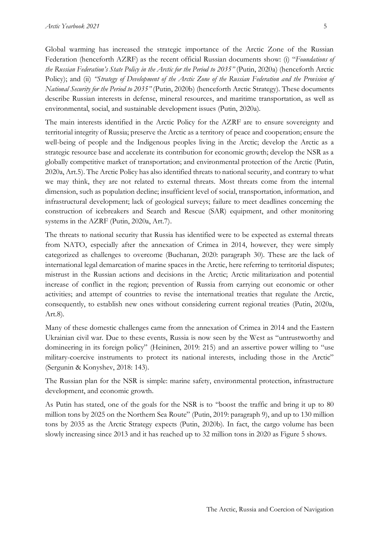Global warming has increased the strategic importance of the Arctic Zone of the Russian Federation (henceforth AZRF) as the recent official Russian documents show: (i) "*Foundations of the Russian Federation's State Policy in the Arctic for the Period to 2035"* (Putin, 2020a) (henceforth Arctic Policy); and (ii) *"Strategy of Development of the Arctic Zone of the Russian Federation and the Provision of National Security for the Period to 2035"* (Putin, 2020b) (henceforth Arctic Strategy). These documents describe Russian interests in defense, mineral resources, and maritime transportation, as well as environmental, social, and sustainable development issues (Putin, 2020a).

The main interests identified in the Arctic Policy for the AZRF are to ensure sovereignty and territorial integrity of Russia; preserve the Arctic as a territory of peace and cooperation; ensure the well-being of people and the Indigenous peoples living in the Arctic; develop the Arctic as a strategic resource base and accelerate its contribution for economic growth; develop the NSR as a globally competitive market of transportation; and environmental protection of the Arctic (Putin, 2020a, Art.5). The Arctic Policy has also identified threats to national security, and contrary to what we may think, they are not related to external threats. Most threats come from the internal dimension, such as population decline; insufficient level of social, transportation, information, and infrastructural development; lack of geological surveys; failure to meet deadlines concerning the construction of icebreakers and Search and Rescue (SAR) equipment, and other monitoring systems in the AZRF (Putin, 2020a, Art.7).

The threats to national security that Russia has identified were to be expected as external threats from NATO, especially after the annexation of Crimea in 2014, however, they were simply categorized as challenges to overcome (Buchanan, 2020: paragraph 30). These are the lack of international legal demarcation of marine spaces in the Arctic, here referring to territorial disputes; mistrust in the Russian actions and decisions in the Arctic; Arctic militarization and potential increase of conflict in the region; prevention of Russia from carrying out economic or other activities; and attempt of countries to revise the international treaties that regulate the Arctic, consequently, to establish new ones without considering current regional treaties (Putin, 2020a, Art.8).

Many of these domestic challenges came from the annexation of Crimea in 2014 and the Eastern Ukrainian civil war. Due to these events, Russia is now seen by the West as "untrustworthy and domineering in its foreign policy" (Heininen, 2019: 215) and an assertive power willing to "use military-coercive instruments to protect its national interests, including those in the Arctic" (Sergunin & Konyshev, 2018: 143).

The Russian plan for the NSR is simple: marine safety, environmental protection, infrastructure development, and economic growth.

As Putin has stated, one of the goals for the NSR is to "boost the traffic and bring it up to 80 million tons by 2025 on the Northern Sea Route" (Putin, 2019: paragraph 9), and up to 130 million tons by 2035 as the Arctic Strategy expects (Putin, 2020b). In fact, the cargo volume has been slowly increasing since 2013 and it has reached up to 32 million tons in 2020 as Figure 5 shows.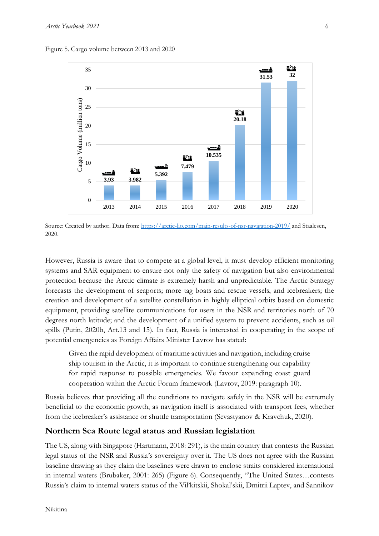Figure 5. Cargo volume between 2013 and 2020



Source: Created by author. Data from[: https://arctic-lio.com/main-results-of-nsr-navigation-2019/](https://arctic-lio.com/main-results-of-nsr-navigation-2019/) and Staalesen, 2020.

However, Russia is aware that to compete at a global level, it must develop efficient monitoring systems and SAR equipment to ensure not only the safety of navigation but also environmental protection because the Arctic climate is extremely harsh and unpredictable. The Arctic Strategy forecasts the development of seaports; more tag boats and rescue vessels, and icebreakers; the creation and development of a satellite constellation in highly elliptical orbits based on domestic equipment, providing satellite communications for users in the NSR and territories north of 70 degrees north latitude; and the development of a unified system to prevent accidents, such as oil spills (Putin, 2020b, Art.13 and 15). In fact, Russia is interested in cooperating in the scope of potential emergencies as Foreign Affairs Minister Lavrov has stated:

Given the rapid development of maritime activities and navigation, including cruise ship tourism in the Arctic, it is important to continue strengthening our capability for rapid response to possible emergencies. We favour expanding coast guard cooperation within the Arctic Forum framework (Lavrov, 2019: paragraph 10).

Russia believes that providing all the conditions to navigate safely in the NSR will be extremely beneficial to the economic growth, as navigation itself is associated with transport fees, whether from the icebreaker's assistance or shuttle transportation (Sevastyanov & Kravchuk, 2020).

#### **Northern Sea Route legal status and Russian legislation**

The US, along with Singapore (Hartmann, 2018: 291), is the main country that contests the Russian legal status of the NSR and Russia's sovereignty over it. The US does not agree with the Russian baseline drawing as they claim the baselines were drawn to enclose straits considered international in internal waters (Brubaker, 2001: 265) (Figure 6). Consequently, "The United States…contests Russia's claim to internal waters status of the Vil'kitskii, Shokal'skii, Dmitrii Laptev, and Sannikov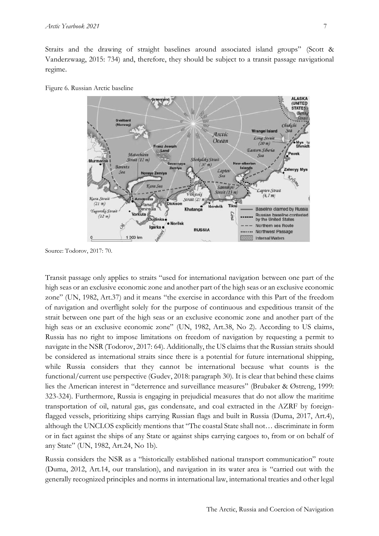Straits and the drawing of straight baselines around associated island groups" (Scott & Vanderzwaag, 2015: 734) and, therefore, they should be subject to a transit passage navigational regime.





Source: Todorov, 2017: 70.

Transit passage only applies to straits "used for international navigation between one part of the high seas or an exclusive economic zone and another part of the high seas or an exclusive economic zone" (UN, 1982, Art.37) and it means "the exercise in accordance with this Part of the freedom of navigation and overflight solely for the purpose of continuous and expeditious transit of the strait between one part of the high seas or an exclusive economic zone and another part of the high seas or an exclusive economic zone" (UN, 1982, Art.38, No 2). According to US claims, Russia has no right to impose limitations on freedom of navigation by requesting a permit to navigate in the NSR (Todorov, 2017: 64). Additionally, the US claims that the Russian straits should be considered as international straits since there is a potential for future international shipping, while Russia considers that they cannot be international because what counts is the functional/current use perspective (Gudev, 2018: paragraph 30). It is clear that behind these claims lies the American interest in "deterrence and surveillance measures" (Brubaker & Østreng, 1999: 323-324). Furthermore, Russia is engaging in prejudicial measures that do not allow the maritime transportation of oil, natural gas, gas condensate, and coal extracted in the AZRF by foreignflagged vessels, prioritizing ships carrying Russian flags and built in Russia (Duma, 2017, Art.4), although the UNCLOS explicitly mentions that "The coastal State shall not… discriminate in form or in fact against the ships of any State or against ships carrying cargoes to, from or on behalf of any State" (UN, 1982, Art.24, No 1b).

Russia considers the NSR as a "historically established national transport communication" route (Duma, 2012, Art.14, our translation), and navigation in its water area is "carried out with the generally recognized principles and norms in international law, international treaties and other legal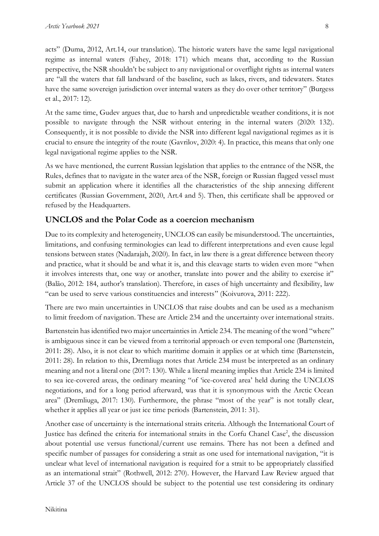acts" (Duma, 2012, Art.14, our translation). The historic waters have the same legal navigational regime as internal waters (Fahey, 2018: 171) which means that, according to the Russian perspective, the NSR shouldn't be subject to any navigational or overflight rights as internal waters are "all the waters that fall landward of the baseline, such as lakes, rivers, and tidewaters. States have the same sovereign jurisdiction over internal waters as they do over other territory" (Burgess et al., 2017: 12).

At the same time, Gudev argues that, due to harsh and unpredictable weather conditions, it is not possible to navigate through the NSR without entering in the internal waters (2020: 132). Consequently, it is not possible to divide the NSR into different legal navigational regimes as it is crucial to ensure the integrity of the route (Gavrilov, 2020: 4). In practice, this means that only one legal navigational regime applies to the NSR.

As we have mentioned, the current Russian legislation that applies to the entrance of the NSR, the Rules, defines that to navigate in the water area of the NSR, foreign or Russian flagged vessel must submit an application where it identifies all the characteristics of the ship annexing different certificates (Russian Government, 2020, Art.4 and 5). Then, this certificate shall be approved or refused by the Headquarters.

## **UNCLOS and the Polar Code as a coercion mechanism**

Due to its complexity and heterogeneity, UNCLOS can easily be misunderstood. The uncertainties, limitations, and confusing terminologies can lead to different interpretations and even cause legal tensions between states (Nadarajah, 2020). In fact, in law there is a great difference between theory and practice, what it should be and what it is, and this cleavage starts to widen even more "when it involves interests that, one way or another, translate into power and the ability to exercise it" (Balão, 2012: 184, author's translation). Therefore, in cases of high uncertainty and flexibility, law "can be used to serve various constituencies and interests" (Koivurova, 2011: 222).

There are two main uncertainties in UNCLOS that raise doubts and can be used as a mechanism to limit freedom of navigation. These are Article 234 and the uncertainty over international straits.

Bartenstein has identified two major uncertainties in Article 234. The meaning of the word "where" is ambiguous since it can be viewed from a territorial approach or even temporal one (Bartenstein, 2011: 28). Also, it is not clear to which maritime domain it applies or at which time (Bartenstein, 2011: 28). In relation to this, Dremliuga notes that Article 234 must be interpreted as an ordinary meaning and not a literal one (2017: 130). While a literal meaning implies that Article 234 is limited to sea ice-covered areas, the ordinary meaning "of 'ice-covered area' held during the UNCLOS negotiations, and for a long period afterward, was that it is synonymous with the Arctic Ocean area" (Dremliuga, 2017: 130). Furthermore, the phrase "most of the year" is not totally clear, whether it applies all year or just ice time periods (Bartenstein, 2011: 31).

Another case of uncertainty is the international straits criteria. Although the International Court of Justice has defined the criteria for international straits in the Corfu Chanel Case<sup>2</sup>, the discussion about potential use versus functional/current use remains. There has not been a defined and specific number of passages for considering a strait as one used for international navigation, "it is unclear what level of international navigation is required for a strait to be appropriately classified as an international strait" (Rothwell, 2012: 270). However, the Harvard Law Review argued that Article 37 of the UNCLOS should be subject to the potential use test considering its ordinary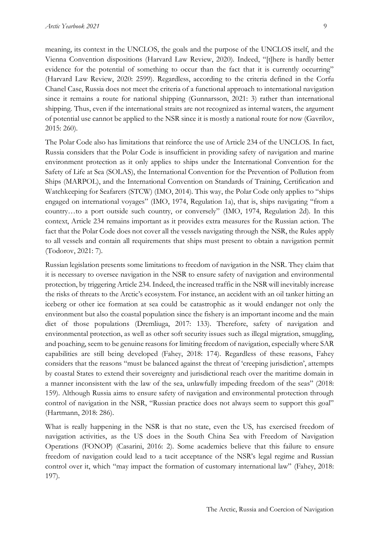meaning, its context in the UNCLOS, the goals and the purpose of the UNCLOS itself, and the Vienna Convention dispositions (Harvard Law Review, 2020). Indeed, "[t]here is hardly better evidence for the potential of something to occur than the fact that it is currently occurring" (Harvard Law Review, 2020: 2599). Regardless, according to the criteria defined in the Corfu Chanel Case, Russia does not meet the criteria of a functional approach to international navigation since it remains a route for national shipping (Gunnarsson, 2021: 3) rather than international shipping. Thus, even if the international straits are not recognized as internal waters, the argument of potential use cannot be applied to the NSR since it is mostly a national route for now (Gavrilov, 2015: 260).

The Polar Code also has limitations that reinforce the use of Article 234 of the UNCLOS. In fact, Russia considers that the Polar Code is insufficient in providing safety of navigation and marine environment protection as it only applies to ships under the International Convention for the Safety of Life at Sea (SOLAS), the International Convention for the Prevention of Pollution from Ships (MARPOL), and the International Convention on Standards of Training, Certification and Watchkeeping for Seafarers (STCW) (IMO, 2014). This way, the Polar Code only applies to "ships engaged on international voyages" (IMO, 1974, Regulation 1a), that is, ships navigating "from a country…to a port outside such country, or conversely" (IMO, 1974, Regulation 2d). In this context, Article 234 remains important as it provides extra measures for the Russian action. The fact that the Polar Code does not cover all the vessels navigating through the NSR, the Rules apply to all vessels and contain all requirements that ships must present to obtain a navigation permit (Todorov, 2021: 7).

Russian legislation presents some limitations to freedom of navigation in the NSR. They claim that it is necessary to oversee navigation in the NSR to ensure safety of navigation and environmental protection, by triggering Article 234. Indeed, the increased traffic in the NSR will inevitably increase the risks of threats to the Arctic's ecosystem. For instance, an accident with an oil tanker hitting an iceberg or other ice formation at sea could be catastrophic as it would endanger not only the environment but also the coastal population since the fishery is an important income and the main diet of those populations (Dremliuga, 2017: 133). Therefore, safety of navigation and environmental protection, as well as other soft security issues such as illegal migration, smuggling, and poaching, seem to be genuine reasons for limiting freedom of navigation, especially where SAR capabilities are still being developed (Fahey, 2018: 174). Regardless of these reasons, Fahey considers that the reasons "must be balanced against the threat of 'creeping jurisdiction', attempts by coastal States to extend their sovereignty and jurisdictional reach over the maritime domain in a manner inconsistent with the law of the sea, unlawfully impeding freedom of the seas" (2018: 159). Although Russia aims to ensure safety of navigation and environmental protection through control of navigation in the NSR, "Russian practice does not always seem to support this goal" (Hartmann, 2018: 286).

What is really happening in the NSR is that no state, even the US, has exercised freedom of navigation activities, as the US does in the South China Sea with Freedom of Navigation Operations (FONOP) (Casarini, 2016: 2). Some academics believe that this failure to ensure freedom of navigation could lead to a tacit acceptance of the NSR's legal regime and Russian control over it, which "may impact the formation of customary international law" (Fahey, 2018: 197).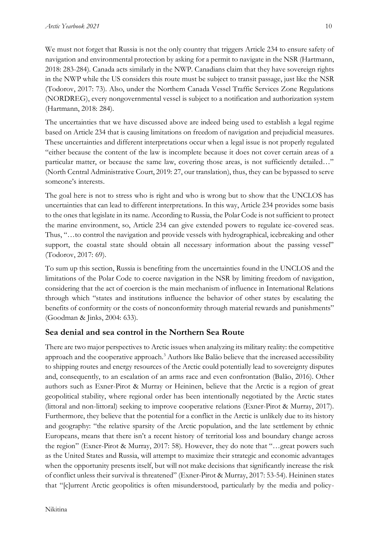We must not forget that Russia is not the only country that triggers Article 234 to ensure safety of navigation and environmental protection by asking for a permit to navigate in the NSR (Hartmann, 2018: 283-284). Canada acts similarly in the NWP. Canadians claim that they have sovereign rights in the NWP while the US considers this route must be subject to transit passage, just like the NSR (Todorov, 2017: 73). Also, under the Northern Canada Vessel Traffic Services Zone Regulations (NORDREG), every nongovernmental vessel is subject to a notification and authorization system (Hartmann, 2018: 284).

The uncertainties that we have discussed above are indeed being used to establish a legal regime based on Article 234 that is causing limitations on freedom of navigation and prejudicial measures. These uncertainties and different interpretations occur when a legal issue is not properly regulated "either because the content of the law is incomplete because it does not cover certain areas of a particular matter, or because the same law, covering those areas, is not sufficiently detailed..." (North Central Administrative Court, 2019: 27, our translation), thus, they can be bypassed to serve someone's interests.

The goal here is not to stress who is right and who is wrong but to show that the UNCLOS has uncertainties that can lead to different interpretations. In this way, Article 234 provides some basis to the ones that legislate in its name. According to Russia, the Polar Code is not sufficient to protect the marine environment, so, Article 234 can give extended powers to regulate ice-covered seas. Thus, "…to control the navigation and provide vessels with hydrographical, icebreaking and other support, the coastal state should obtain all necessary information about the passing vessel" (Todorov, 2017: 69).

To sum up this section, Russia is benefiting from the uncertainties found in the UNCLOS and the limitations of the Polar Code to coerce navigation in the NSR by limiting freedom of navigation, considering that the act of coercion is the main mechanism of influence in International Relations through which "states and institutions influence the behavior of other states by escalating the benefits of conformity or the costs of nonconformity through material rewards and punishments" (Goodman & Jinks, 2004: 633).

# **Sea denial and sea control in the Northern Sea Route**

There are two major perspectives to Arctic issues when analyzing its military reality: the competitive approach and the cooperative approach.<sup>3</sup> Authors like Balão believe that the increased accessibility to shipping routes and energy resources of the Arctic could potentially lead to sovereignty disputes and, consequently, to an escalation of an arms race and even confrontation (Balão, 2016). Other authors such as Exner-Pirot & Murray or Heininen, believe that the Arctic is a region of great geopolitical stability, where regional order has been intentionally negotiated by the Arctic states (littoral and non-littoral) seeking to improve cooperative relations (Exner-Pirot & Murray, 2017). Furthermore, they believe that the potential for a conflict in the Arctic is unlikely due to its history and geography: "the relative sparsity of the Arctic population, and the late settlement by ethnic Europeans, means that there isn't a recent history of territorial loss and boundary change across the region" (Exner-Pirot & Murray, 2017: 58). However, they do note that "…great powers such as the United States and Russia, will attempt to maximize their strategic and economic advantages when the opportunity presents itself, but will not make decisions that significantly increase the risk of conflict unless their survival is threatened" (Exner-Pirot & Murray, 2017: 53-54). Heininen states that "[c]urrent Arctic geopolitics is often misunderstood, particularly by the media and policy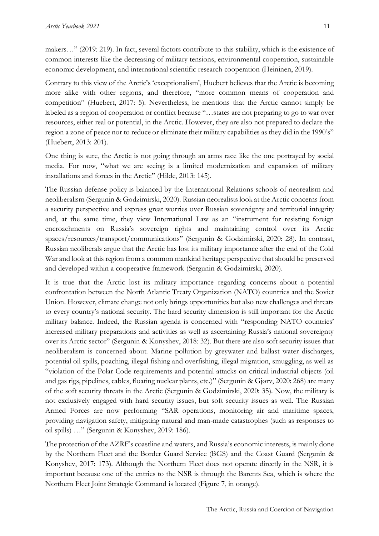makers…" (2019: 219). In fact, several factors contribute to this stability, which is the existence of common interests like the decreasing of military tensions, environmental cooperation, sustainable economic development, and international scientific research cooperation (Heininen, 2019).

Contrary to this view of the Arctic's 'exceptionalism', Huebert believes that the Arctic is becoming more alike with other regions, and therefore, "more common means of cooperation and competition" (Huebert, 2017: 5). Nevertheless, he mentions that the Arctic cannot simply be labeled as a region of cooperation or conflict because "…states are not preparing to go to war over resources, either real or potential, in the Arctic. However, they are also not prepared to declare the region a zone of peace nor to reduce or eliminate their military capabilities as they did in the 1990's" (Huebert, 2013: 201).

One thing is sure, the Arctic is not going through an arms race like the one portrayed by social media. For now, "what we are seeing is a limited modernization and expansion of military installations and forces in the Arctic" (Hilde, 2013: 145).

The Russian defense policy is balanced by the International Relations schools of neorealism and neoliberalism (Sergunin & Godzimirski, 2020). Russian neorealists look at the Arctic concerns from a security perspective and express great worries over Russian sovereignty and territorial integrity and, at the same time, they view International Law as an "instrument for resisting foreign encroachments on Russia's sovereign rights and maintaining control over its Arctic spaces/resources/transport/communications" (Sergunin & Godzimirski, 2020: 28). In contrast, Russian neoliberals argue that the Arctic has lost its military importance after the end of the Cold War and look at this region from a common mankind heritage perspective that should be preserved and developed within a cooperative framework (Sergunin & Godzimirski, 2020).

It is true that the Arctic lost its military importance regarding concerns about a potential confrontation between the North Atlantic Treaty Organization (NATO) countries and the Soviet Union. However, climate change not only brings opportunities but also new challenges and threats to every country's national security. The hard security dimension is still important for the Arctic military balance. Indeed, the Russian agenda is concerned with "responding NATO countries' increased military preparations and activities as well as ascertaining Russia's national sovereignty over its Arctic sector" (Sergunin & Konyshev, 2018: 32). But there are also soft security issues that neoliberalism is concerned about. Marine pollution by greywater and ballast water discharges, potential oil spills, poaching, illegal fishing and overfishing, illegal migration, smuggling, as well as "violation of the Polar Code requirements and potential attacks on critical industrial objects (oil and gas rigs, pipelines, cables, floating nuclear plants, etc.)" (Sergunin & Gjørv, 2020: 268) are many of the soft security threats in the Arctic (Sergunin & Godzimirski, 2020: 35). Now, the military is not exclusively engaged with hard security issues, but soft security issues as well. The Russian Armed Forces are now performing "SAR operations, monitoring air and maritime spaces, providing navigation safety, mitigating natural and man-made catastrophes (such as responses to oil spills) …" (Sergunin & Konyshev, 2019: 186).

The protection of the AZRF's coastline and waters, and Russia's economic interests, is mainly done by the Northern Fleet and the Border Guard Service (BGS) and the Coast Guard (Sergunin & Konyshev, 2017: 173). Although the Northern Fleet does not operate directly in the NSR, it is important because one of the entries to the NSR is through the Barents Sea, which is where the Northern Fleet Joint Strategic Command is located (Figure 7, in orange).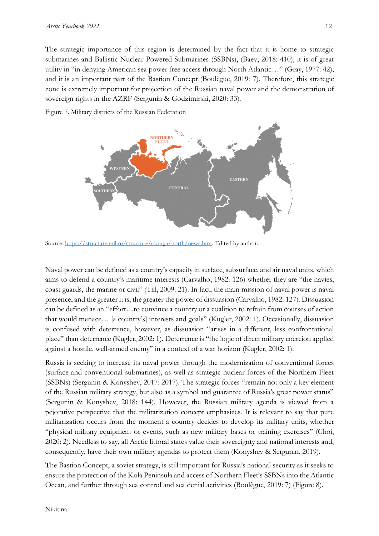The strategic importance of this region is determined by the fact that it is home to strategic submarines and Ballistic Nuclear-Powered Submarines (SSBNs), (Baev, 2018: 410); it is of great utility in "in denying American sea power free access through North Atlantic…" (Gray, 1977: 42); and it is an important part of the Bastion Concept (Boulègue, 2019: 7). Therefore, this strategic zone is extremely important for projection of the Russian naval power and the demonstration of sovereign rights in the AZRF (Sergunin & Godzimirski, 2020: 33).



Figure 7. Military districts of the Russian Federation

Source: [https://structure.mil.ru/structure/okruga/north/news.htm.](https://structure.mil.ru/structure/okruga/north/news.htm) Edited by author.

Naval power can be defined as a country's capacity in surface, subsurface, and air naval units, which aims to defend a country's maritime interests (Carvalho, 1982: 126) whether they are "the navies, coast guards, the marine or civil" (Till, 2009: 21). In fact, the main mission of naval power is naval presence, and the greater it is, the greater the power of dissuasion (Carvalho, 1982: 127). Dissuasion can be defined as an "effort…to convince a country or a coalition to refrain from courses of action that would menace… [a country's] interests and goals" (Kugler, 2002: 1). Occasionally, dissuasion is confused with deterrence, however, as dissuasion "arises in a different, less confrontational place" than deterrence (Kugler, 2002: 1). Deterrence is "the logic of direct military coercion applied against a hostile, well-armed enemy" in a context of a war horizon (Kugler, 2002: 1).

Russia is seeking to increase its naval power through the modernization of conventional forces (surface and conventional submarines), as well as strategic nuclear forces of the Northern Fleet (SSBNs) (Sergunin & Konyshev, 2017: 2017). The strategic forces "remain not only a key element of the Russian military strategy, but also as a symbol and guarantee of Russia's great power status" (Sergunin & Konyshev, 2018: 144). However, the Russian military agenda is viewed from a pejorative perspective that the militarization concept emphasizes. It is relevant to say that pure militarization occurs from the moment a country decides to develop its military units, whether "physical military equipment or events, such as new military bases or training exercises" (Choi, 2020: 2). Needless to say, all Arctic littoral states value their sovereignty and national interests and, consequently, have their own military agendas to protect them (Konyshev & Sergunin, 2019).

The Bastion Concept, a soviet strategy, is still important for Russia's national security as it seeks to ensure the protection of the Kola Peninsula and access of Northern Fleet's SSBNs into the Atlantic Ocean, and further through sea control and sea denial activities (Boulègue, 2019: 7) (Figure 8).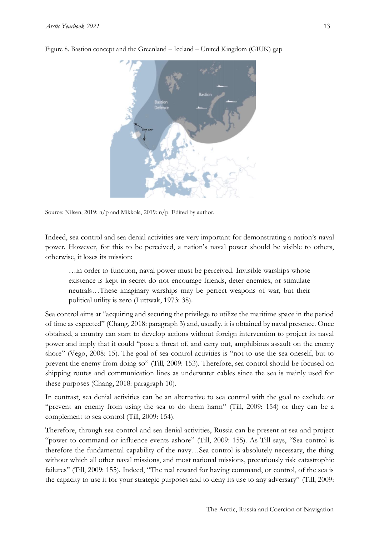

Figure 8. Bastion concept and the Greenland – Iceland – United Kingdom (GIUK) gap

Source: Nilsen, 2019: n/p and Mikkola, 2019: n/p. Edited by author.

Indeed, sea control and sea denial activities are very important for demonstrating a nation's naval power. However, for this to be perceived, a nation's naval power should be visible to others, otherwise, it loses its mission:

…in order to function, naval power must be perceived. Invisible warships whose existence is kept in secret do not encourage friends, deter enemies, or stimulate neutrals…These imaginary warships may be perfect weapons of war, but their political utility is zero (Luttwak, 1973: 38).

Sea control aims at "acquiring and securing the privilege to utilize the maritime space in the period of time as expected" (Chang, 2018: paragraph 3) and, usually, it is obtained by naval presence. Once obtained, a country can start to develop actions without foreign intervention to project its naval power and imply that it could "pose a threat of, and carry out, amphibious assault on the enemy shore" (Vego, 2008: 15). The goal of sea control activities is "not to use the sea oneself, but to prevent the enemy from doing so" (Till, 2009: 153). Therefore, sea control should be focused on shipping routes and communication lines as underwater cables since the sea is mainly used for these purposes (Chang, 2018: paragraph 10).

In contrast, sea denial activities can be an alternative to sea control with the goal to exclude or "prevent an enemy from using the sea to do them harm" (Till, 2009: 154) or they can be a complement to sea control (Till, 2009: 154).

Therefore, through sea control and sea denial activities, Russia can be present at sea and project "power to command or influence events ashore" (Till, 2009: 155). As Till says, "Sea control is therefore the fundamental capability of the navy…Sea control is absolutely necessary, the thing without which all other naval missions, and most national missions, precariously risk catastrophic failures" (Till, 2009: 155). Indeed, "The real reward for having command, or control, of the sea is the capacity to use it for your strategic purposes and to deny its use to any adversary" (Till, 2009: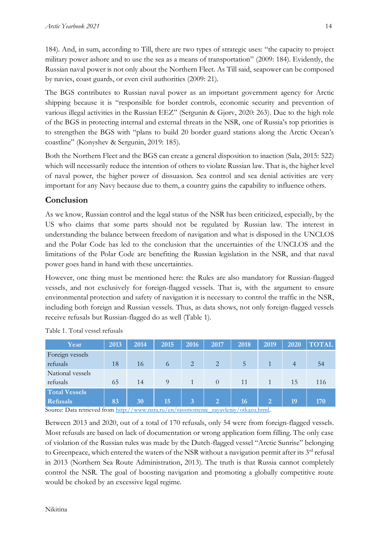184). And, in sum, according to Till, there are two types of strategic uses: "the capacity to project military power ashore and to use the sea as a means of transportation" (2009: 184). Evidently, the Russian naval power is not only about the Northern Fleet. As Till said, seapower can be composed by navies, coast guards, or even civil authorities (2009: 21).

The BGS contributes to Russian naval power as an important government agency for Arctic shipping because it is "responsible for border controls, economic security and prevention of various illegal activities in the Russian EEZ" (Sergunin & Gjørv, 2020: 263). Due to the high role of the BGS in protecting internal and external threats in the NSR, one of Russia's top priorities is to strengthen the BGS with "plans to build 20 border guard stations along the Arctic Ocean's coastline" (Konyshev & Sergunin, 2019: 185).

Both the Northern Fleet and the BGS can create a general disposition to inaction (Sala, 2015: 522) which will necessarily reduce the intention of others to violate Russian law. That is, the higher level of naval power, the higher power of dissuasion. Sea control and sea denial activities are very important for any Navy because due to them, a country gains the capability to influence others.

# **Conclusion**

As we know, Russian control and the legal status of the NSR has been criticized, especially, by the US who claims that some parts should not be regulated by Russian law. The interest in understanding the balance between freedom of navigation and what is disposed in the UNCLOS and the Polar Code has led to the conclusion that the uncertainties of the UNCLOS and the limitations of the Polar Code are benefiting the Russian legislation in the NSR, and that naval power goes hand in hand with these uncertainties.

However, one thing must be mentioned here: the Rules are also mandatory for Russian-flagged vessels, and not exclusively for foreign-flagged vessels. That is, with the argument to ensure environmental protection and safety of navigation it is necessary to control the traffic in the NSR, including both foreign and Russian vessels. Thus, as data shows, not only foreign-flagged vessels receive refusals but Russian-flagged do as well (Table 1).

| Year                 | 2013 | 2014             | 2015 | 2016 | 2017           | 2018                              | 2019           | 2020 | <b>TOTAL</b> |
|----------------------|------|------------------|------|------|----------------|-----------------------------------|----------------|------|--------------|
| Foreign vessels      |      |                  |      |      |                |                                   |                |      |              |
| refusals             | 18   | 16               | 6    | 2    | $\overline{2}$ | 5                                 |                | 4    | 54           |
| National vessels     |      |                  |      |      |                |                                   |                |      |              |
| refusals             | 65   | 14               | 9    |      | $\Omega$       | 11                                |                | 15   | 116          |
| <b>Total Vessels</b> |      |                  |      |      |                |                                   |                |      |              |
| <b>Refusals</b>      | 83   | 30<br>$\sqrt{1}$ | 15   | 3    | $\overline{2}$ | 16<br>$\sim$ $\sim$ $\sim$ $\sim$ | $\overline{2}$ | 19   | 170          |

Table 1. Total vessel refusals

Source: Data retrieved fro[m http://www.nsra.ru/en/rassmotrenie\\_zayavleniy/otkazu.html.](http://www.nsra.ru/en/rassmotrenie_zayavleniy/otkazu.html)

Between 2013 and 2020, out of a total of 170 refusals, only 54 were from foreign-flagged vessels. Most refusals are based on lack of documentation or wrong application form filling. The only case of violation of the Russian rules was made by the Dutch-flagged vessel "Arctic Sunrise" belonging to Greenpeace, which entered the waters of the NSR without a navigation permit after its  $3<sup>rd</sup>$  refusal in 2013 (Northern Sea Route Administration, 2013). The truth is that Russia cannot completely control the NSR. The goal of boosting navigation and promoting a globally competitive route would be choked by an excessive legal regime.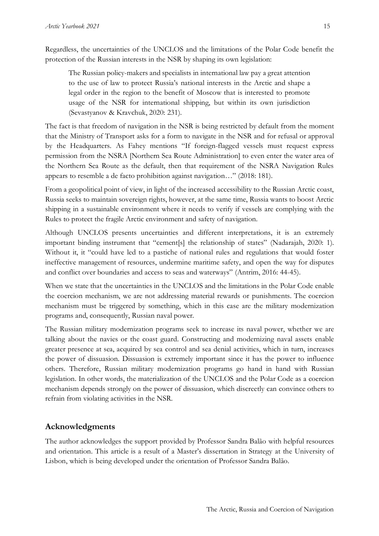Regardless, the uncertainties of the UNCLOS and the limitations of the Polar Code benefit the protection of the Russian interests in the NSR by shaping its own legislation:

The Russian policy-makers and specialists in international law pay a great attention to the use of law to protect Russia's national interests in the Arctic and shape a legal order in the region to the benefit of Moscow that is interested to promote usage of the NSR for international shipping, but within its own jurisdiction (Sevastyanov & Kravchuk, 2020: 231).

The fact is that freedom of navigation in the NSR is being restricted by default from the moment that the Ministry of Transport asks for a form to navigate in the NSR and for refusal or approval by the Headquarters. As Fahey mentions "If foreign-flagged vessels must request express permission from the NSRA [Northern Sea Route Administration] to even enter the water area of the Northern Sea Route as the default, then that requirement of the NSRA Navigation Rules appears to resemble a de facto prohibition against navigation…" (2018: 181).

From a geopolitical point of view, in light of the increased accessibility to the Russian Arctic coast, Russia seeks to maintain sovereign rights, however, at the same time, Russia wants to boost Arctic shipping in a sustainable environment where it needs to verify if vessels are complying with the Rules to protect the fragile Arctic environment and safety of navigation.

Although UNCLOS presents uncertainties and different interpretations, it is an extremely important binding instrument that "cement[s] the relationship of states" (Nadarajah, 2020: 1). Without it, it "could have led to a pastiche of national rules and regulations that would foster ineffective management of resources, undermine maritime safety, and open the way for disputes and conflict over boundaries and access to seas and waterways" (Antrim, 2016: 44-45).

When we state that the uncertainties in the UNCLOS and the limitations in the Polar Code enable the coercion mechanism, we are not addressing material rewards or punishments. The coercion mechanism must be triggered by something, which in this case are the military modernization programs and, consequently, Russian naval power.

The Russian military modernization programs seek to increase its naval power, whether we are talking about the navies or the coast guard. Constructing and modernizing naval assets enable greater presence at sea, acquired by sea control and sea denial activities, which in turn, increases the power of dissuasion. Dissuasion is extremely important since it has the power to influence others. Therefore, Russian military modernization programs go hand in hand with Russian legislation. In other words, the materialization of the UNCLOS and the Polar Code as a coercion mechanism depends strongly on the power of dissuasion, which discreetly can convince others to refrain from violating activities in the NSR.

# **Acknowledgments**

The author acknowledges the support provided by Professor Sandra Balão with helpful resources and orientation. This article is a result of a Master's dissertation in Strategy at the University of Lisbon, which is being developed under the orientation of Professor Sandra Balão.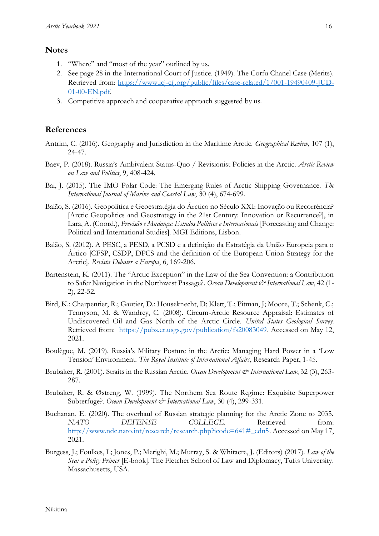#### **Notes**

- 1. "Where" and "most of the year" outlined by us.
- 2. See page 28 in the International Court of Justice. (1949). The Corfu Chanel Case (Merits). Retrieved from: [https://www.icj-cij.org/public/files/case-related/1/001-19490409-JUD-](https://www.icj-cij.org/public/files/case-related/1/001-19490409-JUD-01-00-EN.pdf)[01-00-EN.pdf.](https://www.icj-cij.org/public/files/case-related/1/001-19490409-JUD-01-00-EN.pdf)
- 3. Competitive approach and cooperative approach suggested by us.

# **References**

- Antrim, C. (2016). Geography and Jurisdiction in the Maritime Arctic. *Geographical Review*, 107 (1), 24-47.
- Baev, P. (2018). Russia's Ambivalent Status-Quo / Revisionist Policies in the Arctic. *Arctic Review on Law and Politics*, 9, 408-424.
- Bai, J. (2015). The IMO Polar Code: The Emerging Rules of Arctic Shipping Governance. *The International Journal of Marine and Coastal Law*, 30 (4), 674-699.
- Balão, S. (2016). Geopolítica e Geoestratégia do Árctico no Século XXI: Inovação ou Recorrência? [Arctic Geopolitics and Geostrategy in the 21st Century: Innovation or Recurrence?], in Lara, A. (Coord.), *Previsão e Mudança: Estudos Políticos e Internacionais* [Forecasting and Change: Political and International Studies]. MGI Editions, Lisbon.
- Balão, S. (2012). A PESC, a PESD, a PCSD e a definição da Estratégia da União Europeia para o Ártico [CFSP, CSDP, DPCS and the definition of the European Union Strategy for the Arctic]. *Revista Debater a Europa*, 6, 169-206.
- Bartenstein, K. (2011). The "Arctic Exception" in the Law of the Sea Convention: a Contribution to Safer Navigation in the Northwest Passage?. *Ocean Development & International Law*, 42 (1-2), 22-52.
- Bird, K.; Charpentier, R.; Gautier, D.; Houseknecht, D; Klett, T.; Pitman, J; Moore, T.; Schenk, C.; Tennyson, M. & Wandrey, C. (2008). Circum-Arctic Resource Appraisal: Estimates of Undiscovered Oil and Gas North of the Arctic Circle. *United States Geological Survey*. Retrieved from: [https://pubs.er.usgs.gov/publication/fs20083049.](https://pubs.er.usgs.gov/publication/fs20083049) Accessed on May 12, 2021.
- Boulègue, M. (2019). Russia's Military Posture in the Arctic: Managing Hard Power in a 'Low Tension' Environment. *The Royal Institute of International Affairs*, Research Paper, 1-45.
- Brubaker, R. (2001). Straits in the Russian Arctic. *Ocean Development & International Law*, 32 (3), 263-287.
- Brubaker, R. & Østreng, W. (1999). The Northern Sea Route Regime: Exquisite Superpower Subterfuge?. *Ocean Development & International Law*, 30 (4), 299-331.
- Buchanan, E. (2020). The overhaul of Russian strategic planning for the Arctic Zone to 2035. *NATO DEFENSE COLLEGE*. Retrieved from: [http://www.ndc.nato.int/research/research.php?icode=641#\\_edn5.](http://www.ndc.nato.int/research/research.php?icode=641#_edn5) Accessed on May 17, 2021.
- Burgess, J.; Foulkes, L; Jones, P.; Merighi, M.; Murray, S. & Whitacre, J. (Editors) (2017). *Law of the Sea: a Policy Primer* [E-book]. The Fletcher School of Law and Diplomacy, Tufts University. Massachusetts, USA.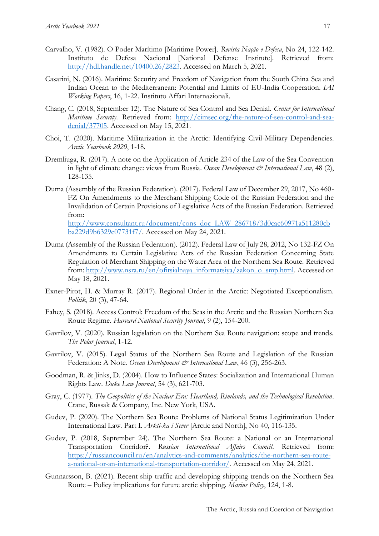- Carvalho, V. (1982). O Poder Marítimo [Maritime Power]. *Revista Nação e Defesa*, No 24, 122-142. Instituto de Defesa Nacional [National Defense Institute]. Retrieved from: [http://hdl.handle.net/10400.26/2823.](http://hdl.handle.net/10400.26/2823) Accessed on March 5, 2021.
- Casarini, N. (2016). Maritime Security and Freedom of Navigation from the South China Sea and Indian Ocean to the Mediterranean: Potential and Limits of EU-India Cooperation. *IAI Working Papers*, 16, 1-22. Instituto Affari Internazionali.
- Chang, C. (2018, September 12). The Nature of Sea Control and Sea Denial. *Center for International Maritime Security*. Retrieved from: [http://cimsec.org/the-nature-of-sea-control-and-sea](http://cimsec.org/the-nature-of-sea-control-and-sea-denial/37705)[denial/37705.](http://cimsec.org/the-nature-of-sea-control-and-sea-denial/37705) Accessed on May 15, 2021.
- Choi, T. (2020). Maritime Militarization in the Arctic: Identifying Civil-Military Dependencies. *Arctic Yearbook 2020*, 1-18.
- Dremliuga, R. (2017). A note on the Application of Article 234 of the Law of the Sea Convention in light of climate change: views from Russia. *Ocean Development & International Law*, 48 (2), 128-135.
- Duma (Assembly of the Russian Federation). (2017). Federal Law of December 29, 2017, No 460- FZ On Amendments to the Merchant Shipping Code of the Russian Federation and the Invalidation of Certain Provisions of Legislative Acts of the Russian Federation. Retrieved from:

[http://www.consultant.ru/document/cons\\_doc\\_LAW\\_286718/3d0cac60971a511280cb](http://www.consultant.ru/document/cons_doc_LAW_286718/3d0cac60971a511280cbba229d9b6329c07731f7/) [ba229d9b6329c07731f7/.](http://www.consultant.ru/document/cons_doc_LAW_286718/3d0cac60971a511280cbba229d9b6329c07731f7/) Accessed on May 24, 2021.

- Duma (Assembly of the Russian Federation). (2012). Federal Law of July 28, 2012, No 132-FZ On Amendments to Certain Legislative Acts of the Russian Federation Concerning State Regulation of Merchant Shipping on the Water Area of the Northern Sea Route. Retrieved from: [http://www.nsra.ru/en/ofitsialnaya\\_informatsiya/zakon\\_o\\_smp.html.](http://www.nsra.ru/en/ofitsialnaya_informatsiya/zakon_o_smp.html) Accessed on May 18, 2021.
- Exner-Pirot, H. & Murray R. (2017). Regional Order in the Arctic: Negotiated Exceptionalism. *Politik*, 20 (3), 47-64.
- Fahey, S. (2018). Access Control: Freedom of the Seas in the Arctic and the Russian Northern Sea Route Regime. *Harvard National Security Journal*, 9 (2), 154-200.
- Gavrilov, V. (2020). Russian legislation on the Northern Sea Route navigation: scope and trends. *The Polar Journal*, 1-12.
- Gavrilov, V. (2015). Legal Status of the Northern Sea Route and Legislation of the Russian Federation: A Note. *Ocean Development & International Law*, 46 (3), 256-263.
- Goodman, R. & Jinks, D. (2004). How to Influence States: Socialization and International Human Rights Law. *Duke Law Journal*, 54 (3), 621-703.
- Gray, C. (1977). *The Geopolitics of the Nuclear Era: Heartland, Rimlands, and the Technological Revolution*. Crane, Russak & Company, Inc. New York, USA.
- Gudev, P. (2020). The Northern Sea Route: Problems of National Status Legitimization Under International Law. Part I. *Arkti-ka i Sever* [Arctic and North], No 40, 116-135.
- Gudev, P. (2018, September 24). The Northern Sea Route: а National or an International Transportation Corridor?. *Russian International Affairs Council*. Retrieved from: [https://russiancouncil.ru/en/analytics-and-comments/analytics/the-northern-sea-route](https://russiancouncil.ru/en/analytics-and-comments/analytics/the-northern-sea-route-a-national-or-an-international-transportation-corridor/)[a-national-or-an-international-transportation-corridor/.](https://russiancouncil.ru/en/analytics-and-comments/analytics/the-northern-sea-route-a-national-or-an-international-transportation-corridor/) Accessed on May 24, 2021.
- Gunnarsson, B. (2021). Recent ship traffic and developing shipping trends on the Northern Sea Route – Policy implications for future arctic shipping. *Marine Policy*, 124, 1-8.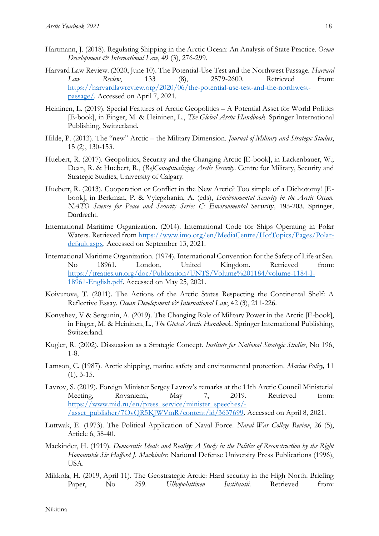- Hartmann, J. (2018). Regulating Shipping in the Arctic Ocean: An Analysis of State Practice. *Ocean Development & International Law*, 49 (3), 276-299.
- Harvard Law Review. (2020, June 10). The Potential-Use Test and the Northwest Passage. *Harvard Law Review*, 133 (8), 2579-2600. Retrieved from: [https://harvardlawreview.org/2020/06/the-potential-use-test-and-the-northwest](https://harvardlawreview.org/2020/06/the-potential-use-test-and-the-northwest-passage/)[passage/.](https://harvardlawreview.org/2020/06/the-potential-use-test-and-the-northwest-passage/) Accessed on April 7, 2021.
- Heininen, L. (2019). Special Features of Arctic Geopolitics A Potential Asset for World Politics [E-book], in Finger, M. & Heininen, L., *The Global Arctic Handbook*. Springer International Publishing, Switzerland.
- Hilde, P. (2013). The "new" Arctic the Military Dimension. *Journal of Military and Strategic Studies*, 15 (2), 130-153.
- Huebert, R. (2017). Geopolitics, Security and the Changing Arctic [E-book], in Lackenbauer, W.; Dean, R. & Huebert, R., (*Re)Conceptualizing Arctic Security*. Centre for Military, Security and Strategic Studies, University of Calgary.
- Huebert, R. (2013). Cooperation or Conflict in the New Arctic? Too simple of a Dichotomy! [Ebook], in Berkman, P. & Vylegzhanin, A. (eds), *Environmental Security in the Arctic Ocean. NATO Science for Peace and Security Series C: Environmental Security*, 195-203. Springer, Dordrecht.
- International Maritime Organization. (2014). International Code for Ships Operating in Polar Waters. Retrieved from [https://www.imo.org/en/MediaCentre/HotTopics/Pages/Polar](https://www.imo.org/en/MediaCentre/HotTopics/Pages/Polar-default.aspx)[default.aspx.](https://www.imo.org/en/MediaCentre/HotTopics/Pages/Polar-default.aspx) Accessed on September 13, 2021.
- International Maritime Organization. (1974). International Convention for the Safety of Life at Sea. No 18961. London, United Kingdom. Retrieved from: [https://treaties.un.org/doc/Publication/UNTS/Volume%201184/volume-1184-I-](https://treaties.un.org/doc/Publication/UNTS/Volume%201184/volume-1184-I-18961-English.pdf)[18961-English.pdf.](https://treaties.un.org/doc/Publication/UNTS/Volume%201184/volume-1184-I-18961-English.pdf) Accessed on May 25, 2021.
- Koivurova, T. (2011). The Actions of the Arctic States Respecting the Continental Shelf: A Reflective Essay. *Ocean Development & International Law*, 42 (3), 211-226.
- Konyshev, V & Sergunin, A. (2019). The Changing Role of Military Power in the Arctic [E-book], in Finger, M. & Heininen, L., *The Global Arctic Handbook*. Springer International Publishing, Switzerland.
- Kugler, R. (2002). Dissuasion as a Strategic Concept. *Institute for National Strategic Studies*, No 196, 1-8.
- Lamson, C. (1987). Arctic shipping, marine safety and environmental protection. *Marine Policy,* 11  $(1), 3-15.$
- Lavrov, S. (2019). Foreign Minister Sergey Lavrov's remarks at the 11th Arctic Council Ministerial Meeting, Rovaniemi, May 7, 2019. Retrieved from: [https://www.mid.ru/en/press\\_service/minister\\_speeches/-](https://www.mid.ru/en/press_service/minister_speeches/-/asset_publisher/7OvQR5KJWVmR/content/id/3637699) [/asset\\_publisher/7OvQR5KJWVmR/content/id/3637699.](https://www.mid.ru/en/press_service/minister_speeches/-/asset_publisher/7OvQR5KJWVmR/content/id/3637699) Accessed on April 8, 2021.
- Luttwak, E. (1973). The Political Application of Naval Force. *Naval War College Review*, 26 (5), Article 6, 38-40.
- Mackinder, H. (1919). *Democratic Ideals and Reality: A Study in the Politics of Reconstruction by the Right Honourable Sir Halford J. Mackinder*. National Defense University Press Publications (1996), USA.
- Mikkola, H. (2019, April 11). The Geostrategic Arctic: Hard security in the High North. Briefing Paper, No 259. *Ulkopoliittinen Instituutii*. Retrieved from: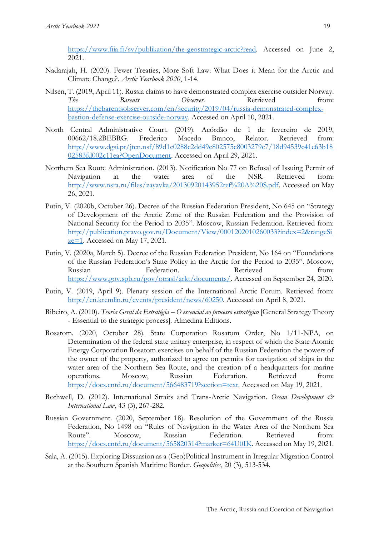[https://www.fiia.fi/sv/publikation/the-geostrategic-arctic?read.](https://www.fiia.fi/sv/publikation/the-geostrategic-arctic?read) Accessed on June 2, 2021.

- Nadarajah, H. (2020). Fewer Treaties, More Soft Law: What Does it Mean for the Arctic and Climate Change?. *Arctic Yearbook 2020*, 1-14.
- Nilsen, T. (2019, April 11). Russia claims to have demonstrated complex exercise outsider Norway. *The Barents Observer*. Retrieved from: [https://thebarentsobserver.com/en/security/2019/04/russia-demonstrated-complex](https://thebarentsobserver.com/en/security/2019/04/russia-demonstrated-complex-bastion-defense-exercise-outside-norway)[bastion-defense-exercise-outside-norway.](https://thebarentsobserver.com/en/security/2019/04/russia-demonstrated-complex-bastion-defense-exercise-outside-norway) Accessed on April 10, 2021.
- North Central Administrative Court. (2019). Acórdão de 1 de fevereiro de 2019, 00662/18.2BEBRG. Frederico Macedo Branco, Relator. Retrieved from: [http://www.dgsi.pt/jtcn.nsf/89d1c0288c2dd49c802575c8003279c7/18d94539c41e63b18](http://www.dgsi.pt/jtcn.nsf/89d1c0288c2dd49c802575c8003279c7/18d94539c41e63b1802583fd002c11ea?OpenDocument) [02583fd002c11ea?OpenDocument.](http://www.dgsi.pt/jtcn.nsf/89d1c0288c2dd49c802575c8003279c7/18d94539c41e63b1802583fd002c11ea?OpenDocument) Accessed on April 29, 2021.
- Northern Sea Route Administration. (2013). Notification No 77 on Refusal of Issuing Permit of Navigation in the water area of the NSR. Retrieved from: [http://www.nsra.ru/files/zayavka/20130920143952ref%20A%20S.pdf.](http://www.nsra.ru/files/zayavka/20130920143952ref%20A%20S.pdf) Accessed on May 26, 2021.
- Putin, V. (2020b, October 26). Decree of the Russian Federation President, No 645 on "Strategy of Development of the Arctic Zone of the Russian Federation and the Provision of National Security for the Period to 2035". Moscow, Russian Federation. Retrieved from: [http://publication.pravo.gov.ru/Document/View/0001202010260033?index=2&rangeSi](http://publication.pravo.gov.ru/Document/View/0001202010260033?index=2&rangeSize=1) [ze=1.](http://publication.pravo.gov.ru/Document/View/0001202010260033?index=2&rangeSize=1) Accessed on May 17, 2021.
- Putin, V. (2020a, March 5). Decree of the Russian Federation President, No 164 on "Foundations of the Russian Federation's State Policy in the Arctic for the Period to 2035". Moscow, Russian Federation. Retrieved from: [https://www.gov.spb.ru/gov/otrasl/arkt/documents/.](https://www.gov.spb.ru/gov/otrasl/arkt/documents/) Accessed on September 24, 2020.
- Putin, V. (2019, April 9). Plenary session of the International Arctic Forum. Retrieved from: [http://en.kremlin.ru/events/president/news/60250.](http://en.kremlin.ru/events/president/news/60250) Accessed on April 8, 2021.
- Ribeiro, A. (2010). *Teoria Geral da Estratégia – O essencial ao processo estratégico* [General Strategy Theory - Essential to the strategic process]. Almedina Editions.
- Rosatom. (2020, October 28). State Corporation Rosatom Order, No 1/11-NPA, on Determination of the federal state unitary enterprise, in respect of which the State Atomic Energy Corporation Rosatom exercises on behalf of the Russian Federation the powers of the owner of the property, authorized to agree on permits for navigation of ships in the water area of the Northern Sea Route, and the creation of a headquarters for marine operations. Moscow, Russian Federation. Retrieved from: [https://docs.cntd.ru/document/566483719?section=text.](https://docs.cntd.ru/document/566483719?section=text) Accessed on May 19, 2021.
- Rothwell, D. (2012). International Straits and Trans-Arctic Navigation. *Ocean Development & International Law*, 43 (3), 267-282.
- Russian Government. (2020, September 18). Resolution of the Government of the Russia Federation, No 1498 on "Rules of Navigation in the Water Area of the Northern Sea Route". Moscow, Russian Federation. Retrieved from: [https://docs.cntd.ru/document/565820314?marker=64U0IK.](https://docs.cntd.ru/document/565820314?marker=64U0IK) Accessed on May 19, 2021.
- Sala, A. (2015). Exploring Dissuasion as a (Geo)Political Instrument in Irregular Migration Control at the Southern Spanish Maritime Border. *Geopolitics*, 20 (3), 513-534.